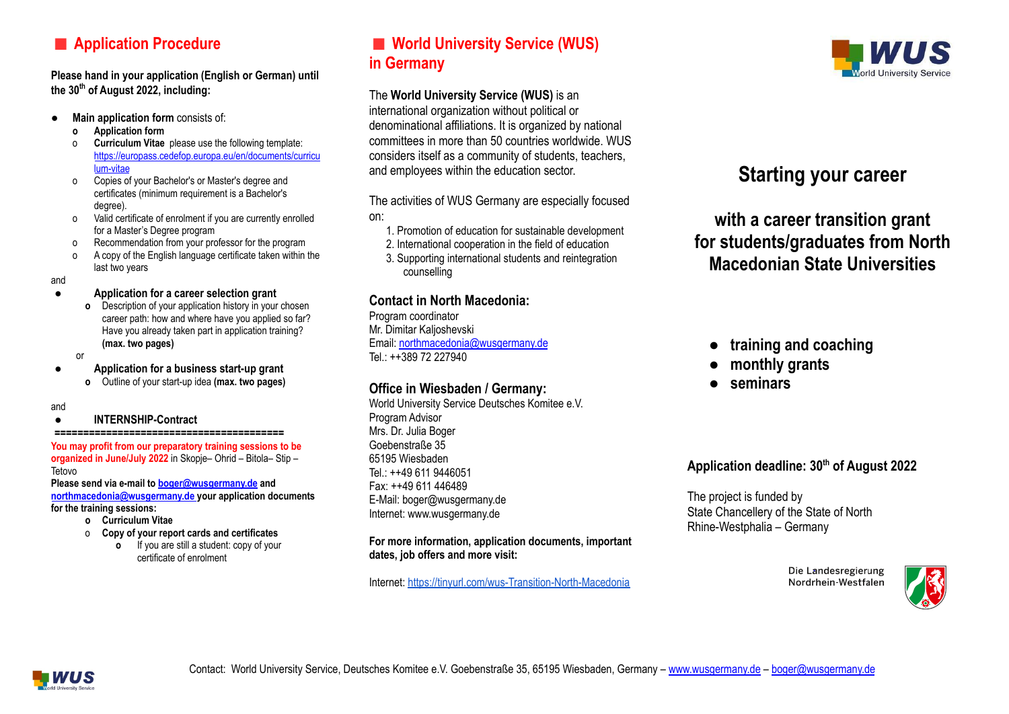# **Application Procedure**

**Please hand in your application (English or German) until the 30 th of August 2022, including:**

- **● Main application form** consists of:
	- **o Application form**
	- o **Curriculum Vitae** please use the following template: [https://europass.cedefop.europa.eu/en/documents/curricu](https://europass.cedefop.europa.eu/en/documents/curriculum-vitae) [lum-vitae](https://europass.cedefop.europa.eu/en/documents/curriculum-vitae)
	- o Copies of your Bachelor's or Master's degree and certificates (minimum requirement is a Bachelor's degree).
	- o Valid certificate of enrolment if you are currently enrolled for a Master's Degree program
	- o Recommendation from your professor for the program
	- A copy of the English language certificate taken within the last two years

and

- **Application for a career selection grant**
	- **o** Description of your application history in your chosen career path: how and where have you applied so far? Have you already taken part in application training? **(max. two pages)**
- 

or

- **● Application for a business start-up grant**
- **o** Outline of your start-up idea **(max. two pages)**

#### and

#### **● INTERNSHIP-Contract**

#### **========================================**

**You may profit from our preparatory training sessions to be organized in June/July 2022** in Skopje– Ohrid – Bitola– Stip – Tetovo

**Please send via e-mail to [boger@wusgermany.de](mailto:boger@wusgermany.de) and [northmacedonia@wusgermany.de](mailto:northmacedonia@wusgermany.de) your application documents for the training sessions:**

- **o Curriculum Vitae**
- o **Copy of your report cards and certificates**
	- **o** If you are still a student: copy of your certificate of enrolment

# **World University Service (WUS) in Germany**

#### The **World University Service (WUS)** is an

international organization without political or denominational affiliations. It is organized by national committees in more than 50 countries worldwide. WUS considers itself as a community of students, teachers, and employees within the education sector.

The activities of WUS Germany are especially focused on:

- 1. Promotion of education for sustainable development
- 2. International cooperation in the field of education
- 3. Supporting international students and reintegration counselling

### **Contact in North Macedonia:**

Program coordinator Mr. Dimitar Kaljoshevski Email: [northmacedonia@wusgermany.de](mailto:northmacedonia@wusgermany.de) Tel:  $+1389$  72 227940

### **Office in Wiesbaden / Germany:**

World University Service Deutsches Komitee e.V. Program Advisor Mrs. Dr. Julia Boger Goebenstraße 35 65195 Wiesbaden Tel.: ++49 611 9446051 Fax: ++49 611 446489 E-Mail: boger@wusgermany.de Internet: www.wusgermany.de

**For more information, application documents, important dates, job offers and more visit:**

Internet: <https://tinyurl.com/wus-Transition-North-Macedonia>



# **Starting your career**

**with a career transition grant for students/graduates from North Macedonian State Universities**

### **● training and coaching**

- **● monthly grants**
- **● seminars**

### **Application deadline: 30th of August 2022**

The project is funded by State Chancellery of the State of North Rhine-Westphalia – Germany

> Die Landesregierung Nordrhein-Westfalen